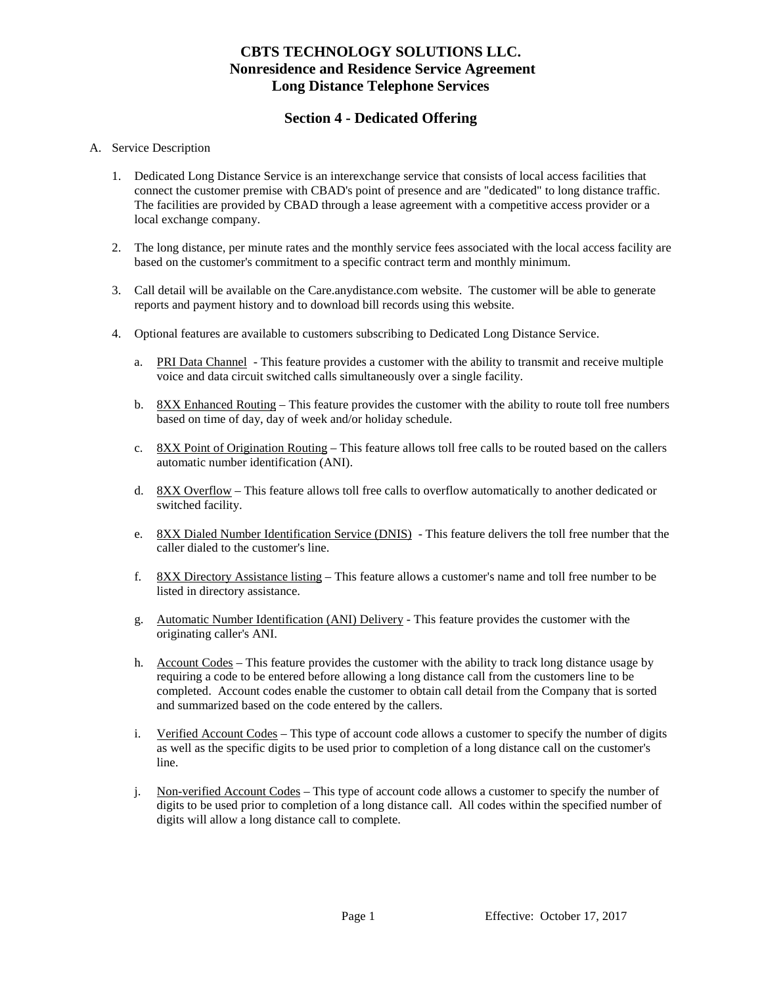## **CBTS TECHNOLOGY SOLUTIONS LLC. Nonresidence and Residence Service Agreement Long Distance Telephone Services**

## **Section 4 - Dedicated Offering**

#### A. Service Description

- 1. Dedicated Long Distance Service is an interexchange service that consists of local access facilities that connect the customer premise with CBAD's point of presence and are "dedicated" to long distance traffic. The facilities are provided by CBAD through a lease agreement with a competitive access provider or a local exchange company.
- 2. The long distance, per minute rates and the monthly service fees associated with the local access facility are based on the customer's commitment to a specific contract term and monthly minimum.
- 3. Call detail will be available on the Care.anydistance.com website. The customer will be able to generate reports and payment history and to download bill records using this website.
- 4. Optional features are available to customers subscribing to Dedicated Long Distance Service.
	- a. PRI Data Channel This feature provides a customer with the ability to transmit and receive multiple voice and data circuit switched calls simultaneously over a single facility.
	- b. 8XX Enhanced Routing This feature provides the customer with the ability to route toll free numbers based on time of day, day of week and/or holiday schedule.
	- c. 8XX Point of Origination Routing This feature allows toll free calls to be routed based on the callers automatic number identification (ANI).
	- d. 8XX Overflow This feature allows toll free calls to overflow automatically to another dedicated or switched facility.
	- e. 8XX Dialed Number Identification Service (DNIS) This feature delivers the toll free number that the caller dialed to the customer's line.
	- f. 8XX Directory Assistance listing This feature allows a customer's name and toll free number to be listed in directory assistance.
	- g. Automatic Number Identification (ANI) Delivery This feature provides the customer with the originating caller's ANI.
	- h. Account Codes This feature provides the customer with the ability to track long distance usage by requiring a code to be entered before allowing a long distance call from the customers line to be completed. Account codes enable the customer to obtain call detail from the Company that is sorted and summarized based on the code entered by the callers.
	- i. Verified Account Codes This type of account code allows a customer to specify the number of digits as well as the specific digits to be used prior to completion of a long distance call on the customer's line.
	- j. Non-verified Account Codes This type of account code allows a customer to specify the number of digits to be used prior to completion of a long distance call. All codes within the specified number of digits will allow a long distance call to complete.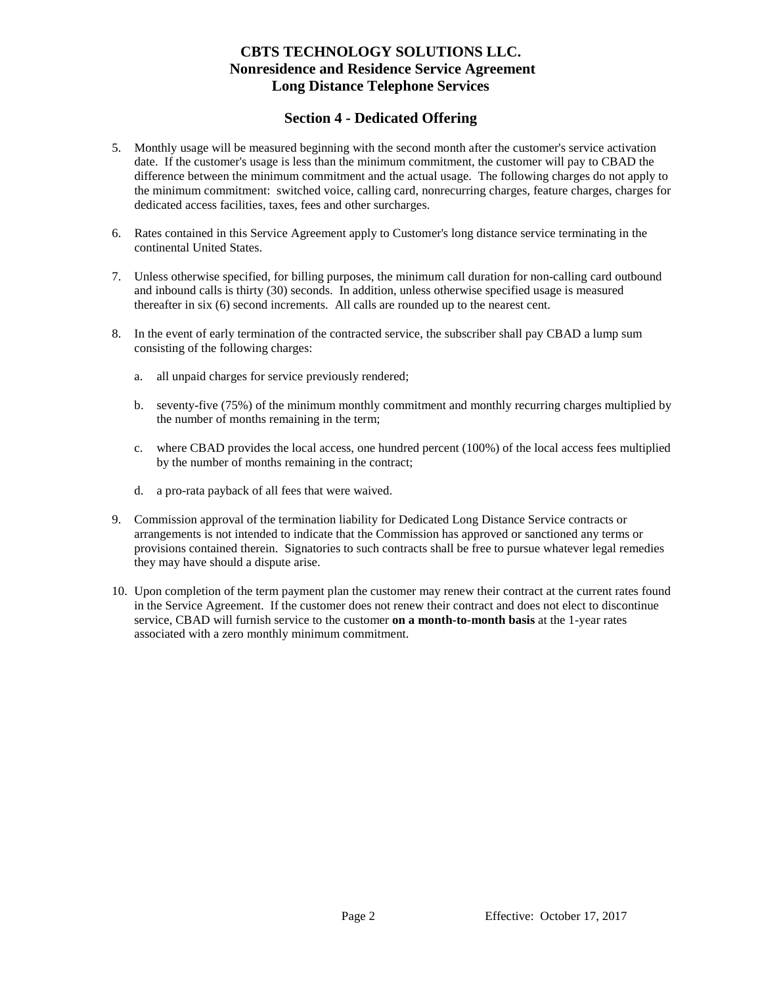# **CBTS TECHNOLOGY SOLUTIONS LLC. Nonresidence and Residence Service Agreement Long Distance Telephone Services**

## **Section 4 - Dedicated Offering**

- 5. Monthly usage will be measured beginning with the second month after the customer's service activation date. If the customer's usage is less than the minimum commitment, the customer will pay to CBAD the difference between the minimum commitment and the actual usage. The following charges do not apply to the minimum commitment: switched voice, calling card, nonrecurring charges, feature charges, charges for dedicated access facilities, taxes, fees and other surcharges.
- 6. Rates contained in this Service Agreement apply to Customer's long distance service terminating in the continental United States.
- 7. Unless otherwise specified, for billing purposes, the minimum call duration for non-calling card outbound and inbound calls is thirty (30) seconds. In addition, unless otherwise specified usage is measured thereafter in six (6) second increments. All calls are rounded up to the nearest cent.
- 8. In the event of early termination of the contracted service, the subscriber shall pay CBAD a lump sum consisting of the following charges:
	- a. all unpaid charges for service previously rendered;
	- b. seventy-five (75%) of the minimum monthly commitment and monthly recurring charges multiplied by the number of months remaining in the term;
	- c. where CBAD provides the local access, one hundred percent (100%) of the local access fees multiplied by the number of months remaining in the contract;
	- d. a pro-rata payback of all fees that were waived.
- 9. Commission approval of the termination liability for Dedicated Long Distance Service contracts or arrangements is not intended to indicate that the Commission has approved or sanctioned any terms or provisions contained therein. Signatories to such contracts shall be free to pursue whatever legal remedies they may have should a dispute arise.
- 10. Upon completion of the term payment plan the customer may renew their contract at the current rates found in the Service Agreement. If the customer does not renew their contract and does not elect to discontinue service, CBAD will furnish service to the customer **on a month-to-month basis** at the 1-year rates associated with a zero monthly minimum commitment.